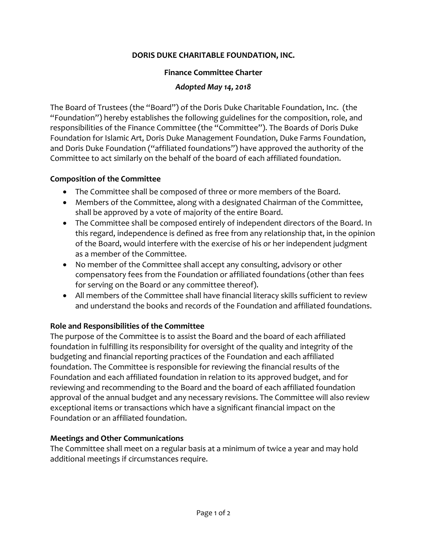# **DORIS DUKE CHARITABLE FOUNDATION, INC.**

#### **Finance Committee Charter**

#### *Adopted May 14, 2018*

The Board of Trustees (the "Board") of the Doris Duke Charitable Foundation, Inc. (the "Foundation") hereby establishes the following guidelines for the composition, role, and responsibilities of the Finance Committee (the "Committee"). The Boards of Doris Duke Foundation for Islamic Art, Doris Duke Management Foundation, Duke Farms Foundation, and Doris Duke Foundation ("affiliated foundations") have approved the authority of the Committee to act similarly on the behalf of the board of each affiliated foundation.

# **Composition of the Committee**

- The Committee shall be composed of three or more members of the Board.
- Members of the Committee, along with a designated Chairman of the Committee, shall be approved by a vote of majority of the entire Board.
- The Committee shall be composed entirely of independent directors of the Board. In this regard, independence is defined as free from any relationship that, in the opinion of the Board, would interfere with the exercise of his or her independent judgment as a member of the Committee.
- No member of the Committee shall accept any consulting, advisory or other compensatory fees from the Foundation or affiliated foundations (other than fees for serving on the Board or any committee thereof).
- All members of the Committee shall have financial literacy skills sufficient to review and understand the books and records of the Foundation and affiliated foundations.

# **Role and Responsibilities of the Committee**

The purpose of the Committee is to assist the Board and the board of each affiliated foundation in fulfilling its responsibility for oversight of the quality and integrity of the budgeting and financial reporting practices of the Foundation and each affiliated foundation. The Committee is responsible for reviewing the financial results of the Foundation and each affiliated foundation in relation to its approved budget, and for reviewing and recommending to the Board and the board of each affiliated foundation approval of the annual budget and any necessary revisions. The Committee will also review exceptional items or transactions which have a significant financial impact on the Foundation or an affiliated foundation.

# **Meetings and Other Communications**

The Committee shall meet on a regular basis at a minimum of twice a year and may hold additional meetings if circumstances require.